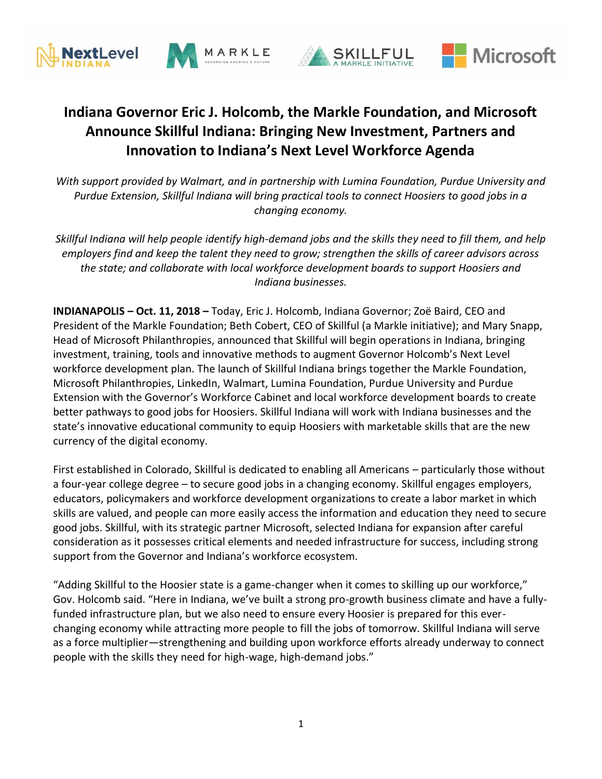







# **Indiana Governor Eric J. Holcomb, the Markle Foundation, and Microsoft Announce Skillful Indiana: Bringing New Investment, Partners and Innovation to Indiana's Next Level Workforce Agenda**

*With support provided by Walmart, and in partnership with Lumina Foundation, Purdue University and Purdue Extension, Skillful Indiana will bring practical tools to connect Hoosiers to good jobs in a changing economy.* 

*Skillful Indiana will help people identify high-demand jobs and the skills they need to fill them, and help employers find and keep the talent they need to grow; strengthen the skills of career advisors across the state; and collaborate with local workforce development boards to support Hoosiers and Indiana businesses.*

**INDIANAPOLIS – Oct. 11, 2018 –** Today, Eric J. Holcomb, Indiana Governor; Zoë Baird, CEO and President of the Markle Foundation; Beth Cobert, CEO of Skillful (a Markle initiative); and Mary Snapp, Head of Microsoft Philanthropies, announced that Skillful will begin operations in Indiana, bringing investment, training, tools and innovative methods to augment Governor Holcomb's Next Level workforce development plan. The launch of Skillful Indiana brings together the Markle Foundation, Microsoft Philanthropies, LinkedIn, Walmart, Lumina Foundation, Purdue University and Purdue Extension with the Governor's Workforce Cabinet and local workforce development boards to create better pathways to good jobs for Hoosiers. Skillful Indiana will work with Indiana businesses and the state's innovative educational community to equip Hoosiers with marketable skills that are the new currency of the digital economy.

First established in Colorado, Skillful is dedicated to enabling all Americans – particularly those without a four-year college degree – to secure good jobs in a changing economy. Skillful engages employers, educators, policymakers and workforce development organizations to create a labor market in which skills are valued, and people can more easily access the information and education they need to secure good jobs. Skillful, with its strategic partner Microsoft, selected Indiana for expansion after careful consideration as it possesses critical elements and needed infrastructure for success, including strong support from the Governor and Indiana's workforce ecosystem.

"Adding Skillful to the Hoosier state is a game-changer when it comes to skilling up our workforce," Gov. Holcomb said. "Here in Indiana, we've built a strong pro-growth business climate and have a fullyfunded infrastructure plan, but we also need to ensure every Hoosier is prepared for this everchanging economy while attracting more people to fill the jobs of tomorrow. Skillful Indiana will serve as a force multiplier—strengthening and building upon workforce efforts already underway to connect people with the skills they need for high-wage, high-demand jobs."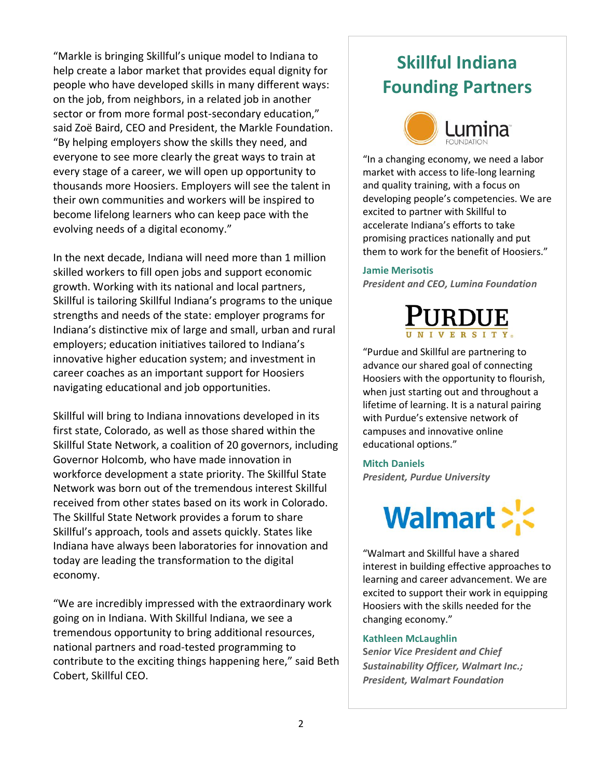"Markle is bringing Skillful's unique model to Indiana to help create a labor market that provides equal dignity for people who have developed skills in many different ways: on the job, from neighbors, in a related job in another sector or from more formal post-secondary education," said Zoë Baird, CEO and President, the Markle Foundation. "By helping employers show the skills they need, and everyone to see more clearly the great ways to train at every stage of a career, we will open up opportunity to thousands more Hoosiers. Employers will see the talent in their own communities and workers will be inspired to become lifelong learners who can keep pace with the evolving needs of a digital economy."

In the next decade, Indiana will need more than 1 million skilled workers to fill open jobs and support economic growth. Working with its national and local partners, Skillful is tailoring Skillful Indiana's programs to the unique strengths and needs of the state: employer programs for Indiana's distinctive mix of large and small, urban and rural employers; education initiatives tailored to Indiana's innovative higher education system; and investment in career coaches as an important support for Hoosiers navigating educational and job opportunities.

Skillful will bring to Indiana innovations developed in its first state, Colorado, as well as those shared within the Skillful State Network, a coalition of 20 governors, including Governor Holcomb, who have made innovation in workforce development a state priority. The Skillful State Network was born out of the tremendous interest Skillful received from other states based on its work in Colorado. The Skillful State Network provides a forum to share Skillful's approach, tools and assets quickly. States like Indiana have always been laboratories for innovation and today are leading the transformation to the digital economy.

"We are incredibly impressed with the extraordinary work going on in Indiana. With Skillful Indiana, we see a tremendous opportunity to bring additional resources, national partners and road-tested programming to contribute to the exciting things happening here," said Beth Cobert, Skillful CEO.

# **Skillful Indiana Founding Partners**



"In a changing economy, we need a labor market with access to life-long learning and quality training, with a focus on developing people's competencies. We are excited to partner with Skillful to accelerate Indiana's efforts to take promising practices nationally and put them to work for the benefit of Hoosiers."

#### **Jamie Merisotis**

*President and CEO, Lumina Foundation*



"Purdue and Skillful are partnering to advance our shared goal of connecting Hoosiers with the opportunity to flourish, when just starting out and throughout a lifetime of learning. It is a natural pairing with Purdue's extensive network of campuses and innovative online educational options."

**Mitch Daniels** *President, Purdue University*



"Walmart and Skillful have a shared interest in building effective approaches to learning and career advancement. We are excited to support their work in equipping Hoosiers with the skills needed for the changing economy."

#### **Kathleen McLaughlin**

**S***enior Vice President and Chief Sustainability Officer, Walmart Inc.; President, Walmart Foundation*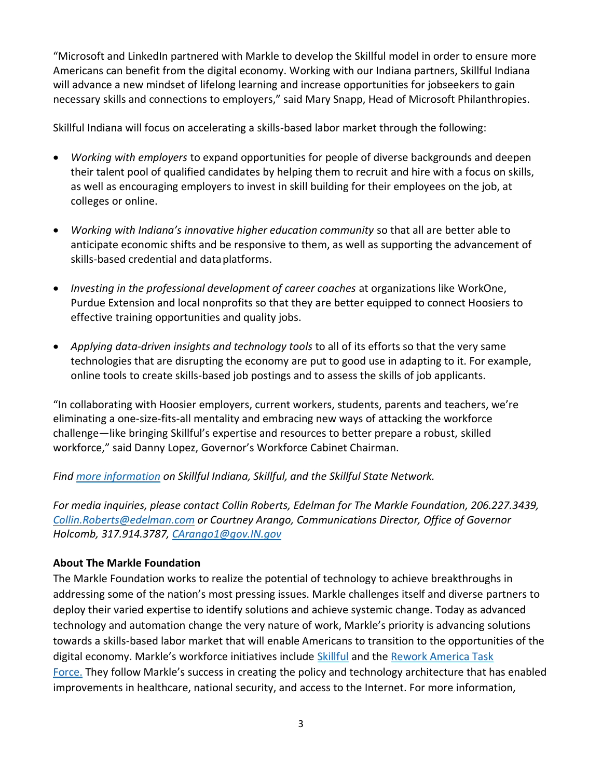"Microsoft and LinkedIn partnered with Markle to develop the Skillful model in order to ensure more Americans can benefit from the digital economy. Working with our Indiana partners, Skillful Indiana will advance a new mindset of lifelong learning and increase opportunities for jobseekers to gain necessary skills and connections to employers," said Mary Snapp, Head of Microsoft Philanthropies.

Skillful Indiana will focus on accelerating a skills-based labor market through the following:

- *Working with employers* to expand opportunities for people of diverse backgrounds and deepen their talent pool of qualified candidates by helping them to recruit and hire with a focus on skills, as well as encouraging employers to invest in skill building for their employees on the job, at colleges or online.
- *Working with Indiana's innovative higher education community* so that all are better able to anticipate economic shifts and be responsive to them, as well as supporting the advancement of skills-based credential and dataplatforms.
- *Investing in the professional development of career coaches* at organizations like WorkOne, Purdue Extension and local nonprofits so that they are better equipped to connect Hoosiers to effective training opportunities and quality jobs.
- *Applying data-driven insights and technology tools* to all of its efforts so that the very same technologies that are disrupting the economy are put to good use in adapting to it. For example, online tools to create skills-based job postings and to assess the skills of job applicants.

"In collaborating with Hoosier employers, current workers, students, parents and teachers, we're eliminating a one-size-fits-all mentality and embracing new ways of attacking the workforce challenge—like bringing Skillful's expertise and resources to better prepare a robust, skilled workforce," said Danny Lopez, Governor's Workforce Cabinet Chairman.

### *Find [more information](https://www.skillful.com/) on Skillful Indiana, Skillful, and the Skillful State Network.*

*For media inquiries, please contact Collin Roberts, Edelman for The Markle Foundation, 206.227.3439, [Collin.Roberts@edelman.com](mailto:Collin.Roberts@edelman.com) or Courtney Arango, Communications Director, Office of Governor Holcomb, 317.914.3787, [CArango1@gov.IN.gov](mailto:CArango1@gov.IN.gov)*

### **About The Markle Foundation**

The Markle Foundation works to realize the potential of technology to achieve breakthroughs in addressing some of the nation's most pressing issues. Markle challenges itself and diverse partners to deploy their varied expertise to identify solutions and achieve systemic change. Today as advanced technology and automation change the very nature of work, Markle's priority is advancing solutions towards a skills-based labor market that will enable Americans to transition to the opportunities of the digital economy. Markle's workforce initiatives include [Skillful](https://skillful.com/) and the [Rework America Task](https://www.markle.org/rework-america)  [Force.](https://www.markle.org/rework-america) They follow Markle's success in creating the policy and technology architecture that has enabled improvements in healthcare, national security, and access to the Internet. For more information,